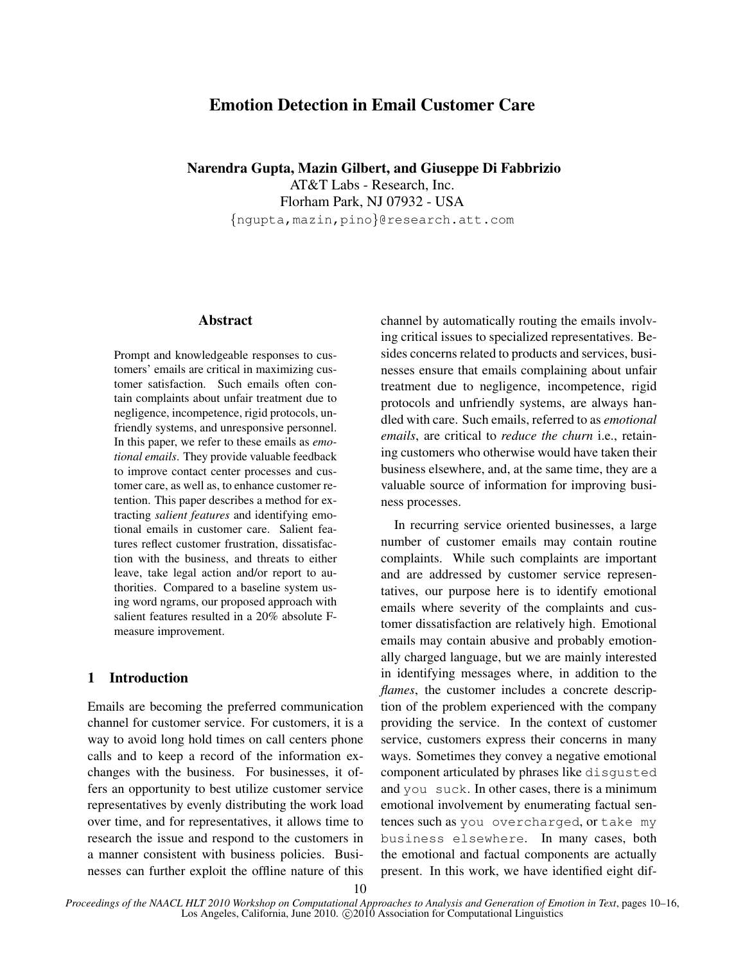# Emotion Detection in Email Customer Care

Narendra Gupta, Mazin Gilbert, and Giuseppe Di Fabbrizio

AT&T Labs - Research, Inc. Florham Park, NJ 07932 - USA {ngupta,mazin,pino}@research.att.com

# **Abstract**

Prompt and knowledgeable responses to customers' emails are critical in maximizing customer satisfaction. Such emails often contain complaints about unfair treatment due to negligence, incompetence, rigid protocols, unfriendly systems, and unresponsive personnel. In this paper, we refer to these emails as *emotional emails*. They provide valuable feedback to improve contact center processes and customer care, as well as, to enhance customer retention. This paper describes a method for extracting *salient features* and identifying emotional emails in customer care. Salient features reflect customer frustration, dissatisfaction with the business, and threats to either leave, take legal action and/or report to authorities. Compared to a baseline system using word ngrams, our proposed approach with salient features resulted in a 20% absolute Fmeasure improvement.

# 1 Introduction

Emails are becoming the preferred communication channel for customer service. For customers, it is a way to avoid long hold times on call centers phone calls and to keep a record of the information exchanges with the business. For businesses, it offers an opportunity to best utilize customer service representatives by evenly distributing the work load over time, and for representatives, it allows time to research the issue and respond to the customers in a manner consistent with business policies. Businesses can further exploit the offline nature of this channel by automatically routing the emails involving critical issues to specialized representatives. Besides concerns related to products and services, businesses ensure that emails complaining about unfair treatment due to negligence, incompetence, rigid protocols and unfriendly systems, are always handled with care. Such emails, referred to as *emotional emails*, are critical to *reduce the churn* i.e., retaining customers who otherwise would have taken their business elsewhere, and, at the same time, they are a valuable source of information for improving business processes.

In recurring service oriented businesses, a large number of customer emails may contain routine complaints. While such complaints are important and are addressed by customer service representatives, our purpose here is to identify emotional emails where severity of the complaints and customer dissatisfaction are relatively high. Emotional emails may contain abusive and probably emotionally charged language, but we are mainly interested in identifying messages where, in addition to the *flames*, the customer includes a concrete description of the problem experienced with the company providing the service. In the context of customer service, customers express their concerns in many ways. Sometimes they convey a negative emotional component articulated by phrases like disgusted and you suck. In other cases, there is a minimum emotional involvement by enumerating factual sentences such as you overcharged, or take my business elsewhere. In many cases, both the emotional and factual components are actually present. In this work, we have identified eight dif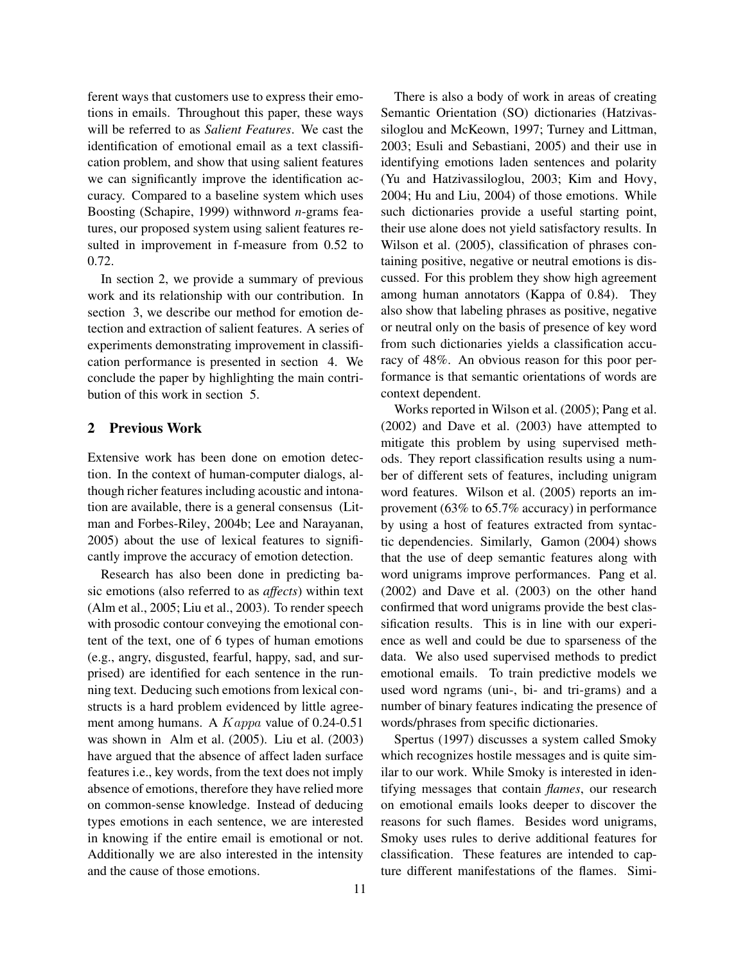ferent ways that customers use to express their emotions in emails. Throughout this paper, these ways will be referred to as *Salient Features*. We cast the identification of emotional email as a text classification problem, and show that using salient features we can significantly improve the identification accuracy. Compared to a baseline system which uses Boosting (Schapire, 1999) withnword *n*-grams features, our proposed system using salient features resulted in improvement in f-measure from 0.52 to 0.72.

In section 2, we provide a summary of previous work and its relationship with our contribution. In section 3, we describe our method for emotion detection and extraction of salient features. A series of experiments demonstrating improvement in classification performance is presented in section 4. We conclude the paper by highlighting the main contribution of this work in section 5.

# 2 Previous Work

Extensive work has been done on emotion detection. In the context of human-computer dialogs, although richer features including acoustic and intonation are available, there is a general consensus (Litman and Forbes-Riley, 2004b; Lee and Narayanan, 2005) about the use of lexical features to significantly improve the accuracy of emotion detection.

Research has also been done in predicting basic emotions (also referred to as *affects*) within text (Alm et al., 2005; Liu et al., 2003). To render speech with prosodic contour conveying the emotional content of the text, one of 6 types of human emotions (e.g., angry, disgusted, fearful, happy, sad, and surprised) are identified for each sentence in the running text. Deducing such emotions from lexical constructs is a hard problem evidenced by little agreement among humans. A Kappa value of 0.24-0.51 was shown in Alm et al. (2005). Liu et al. (2003) have argued that the absence of affect laden surface features i.e., key words, from the text does not imply absence of emotions, therefore they have relied more on common-sense knowledge. Instead of deducing types emotions in each sentence, we are interested in knowing if the entire email is emotional or not. Additionally we are also interested in the intensity and the cause of those emotions.

There is also a body of work in areas of creating Semantic Orientation (SO) dictionaries (Hatzivassiloglou and McKeown, 1997; Turney and Littman, 2003; Esuli and Sebastiani, 2005) and their use in identifying emotions laden sentences and polarity (Yu and Hatzivassiloglou, 2003; Kim and Hovy, 2004; Hu and Liu, 2004) of those emotions. While such dictionaries provide a useful starting point, their use alone does not yield satisfactory results. In Wilson et al. (2005), classification of phrases containing positive, negative or neutral emotions is discussed. For this problem they show high agreement among human annotators (Kappa of 0.84). They also show that labeling phrases as positive, negative or neutral only on the basis of presence of key word from such dictionaries yields a classification accuracy of 48%. An obvious reason for this poor performance is that semantic orientations of words are context dependent.

Works reported in Wilson et al. (2005); Pang et al. (2002) and Dave et al. (2003) have attempted to mitigate this problem by using supervised methods. They report classification results using a number of different sets of features, including unigram word features. Wilson et al. (2005) reports an improvement (63% to 65.7% accuracy) in performance by using a host of features extracted from syntactic dependencies. Similarly, Gamon (2004) shows that the use of deep semantic features along with word unigrams improve performances. Pang et al. (2002) and Dave et al. (2003) on the other hand confirmed that word unigrams provide the best classification results. This is in line with our experience as well and could be due to sparseness of the data. We also used supervised methods to predict emotional emails. To train predictive models we used word ngrams (uni-, bi- and tri-grams) and a number of binary features indicating the presence of words/phrases from specific dictionaries.

Spertus (1997) discusses a system called Smoky which recognizes hostile messages and is quite similar to our work. While Smoky is interested in identifying messages that contain *flames*, our research on emotional emails looks deeper to discover the reasons for such flames. Besides word unigrams, Smoky uses rules to derive additional features for classification. These features are intended to capture different manifestations of the flames. Simi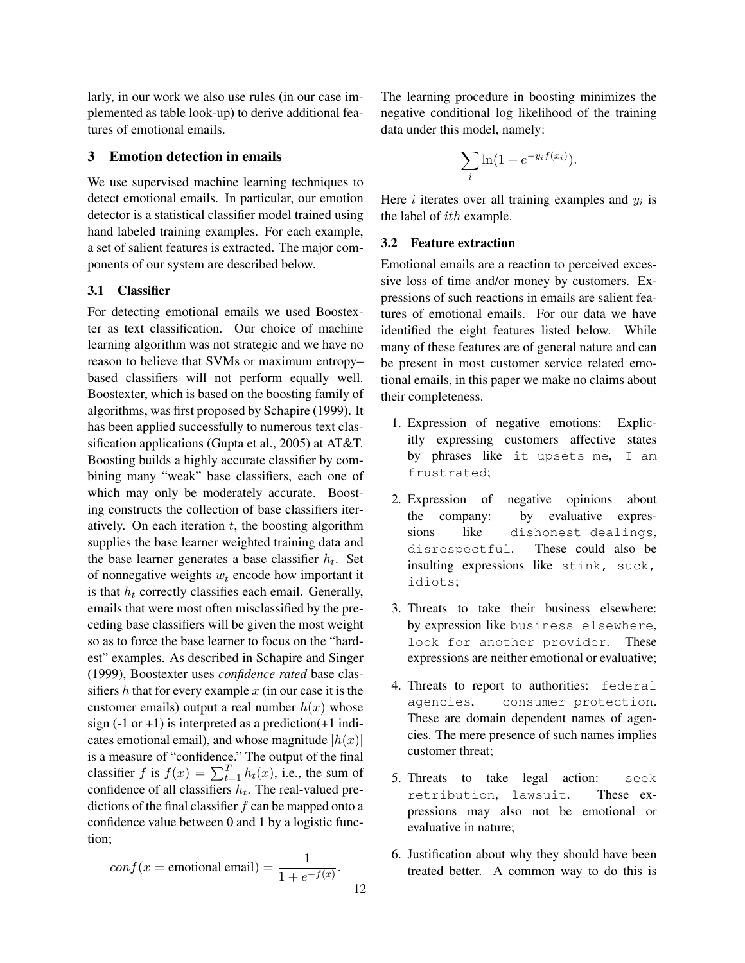larly, in our work we also use rules (in our case implemented as table look-up) to derive additional features of emotional emails.

#### 3 Emotion detection in emails

We use supervised machine learning techniques to detect emotional emails. In particular, our emotion detector is a statistical classifier model trained using hand labeled training examples. For each example, a set of salient features is extracted. The major components of our system are described below.

### 3.1 Classifier

For detecting emotional emails we used Boostexter as text classification. Our choice of machine learning algorithm was not strategic and we have no reason to believe that SVMs or maximum entropy– based classifiers will not perform equally well. Boostexter, which is based on the boosting family of algorithms, was first proposed by Schapire (1999). It has been applied successfully to numerous text classification applications (Gupta et al., 2005) at AT&T. Boosting builds a highly accurate classifier by combining many "weak" base classifiers, each one of which may only be moderately accurate. Boosting constructs the collection of base classifiers iteratively. On each iteration  $t$ , the boosting algorithm supplies the base learner weighted training data and the base learner generates a base classifier  $h_t$ . Set of nonnegative weights  $w_t$  encode how important it is that  $h_t$  correctly classifies each email. Generally, emails that were most often misclassified by the preceding base classifiers will be given the most weight so as to force the base learner to focus on the "hardest" examples. As described in Schapire and Singer (1999), Boostexter uses *confidence rated* base classifiers  $h$  that for every example  $x$  (in our case it is the customer emails) output a real number  $h(x)$  whose sign  $(-1 \text{ or } +1)$  is interpreted as a prediction $(+1 \text{ indi})$ cates emotional email), and whose magnitude  $|h(x)|$ is a measure of "confidence." The output of the final classifier f is  $f(x) = \sum_{t=1}^{T} h_t(x)$ , i.e., the sum of confidence of all classifiers  $h_t$ . The real-valued predictions of the final classifier  $f$  can be mapped onto a confidence value between 0 and 1 by a logistic function;

$$
conf(x = \text{emotional email}) = \frac{1}{1 + e^{-f(x)}}.
$$

The learning procedure in boosting minimizes the negative conditional log likelihood of the training data under this model, namely:

$$
\sum_{i} \ln(1 + e^{-y_i f(x_i)}).
$$

Here  $i$  iterates over all training examples and  $y_i$  is the label of ith example.

#### 3.2 Feature extraction

Emotional emails are a reaction to perceived excessive loss of time and/or money by customers. Expressions of such reactions in emails are salient features of emotional emails. For our data we have identified the eight features listed below. While many of these features are of general nature and can be present in most customer service related emotional emails, in this paper we make no claims about their completeness.

- 1. Expression of negative emotions: Explicitly expressing customers affective states by phrases like it upsets me, I am frustrated;
- 2. Expression of negative opinions about the company: by evaluative expressions like dishonest dealings, disrespectful. These could also be insulting expressions like stink, suck, idiots;
- 3. Threats to take their business elsewhere: by expression like business elsewhere, look for another provider. These expressions are neither emotional or evaluative;
- 4. Threats to report to authorities: federal agencies, consumer protection. These are domain dependent names of agencies. The mere presence of such names implies customer threat;
- 5. Threats to take legal action: seek retribution, lawsuit. These expressions may also not be emotional or evaluative in nature;
- 6. Justification about why they should have been treated better. A common way to do this is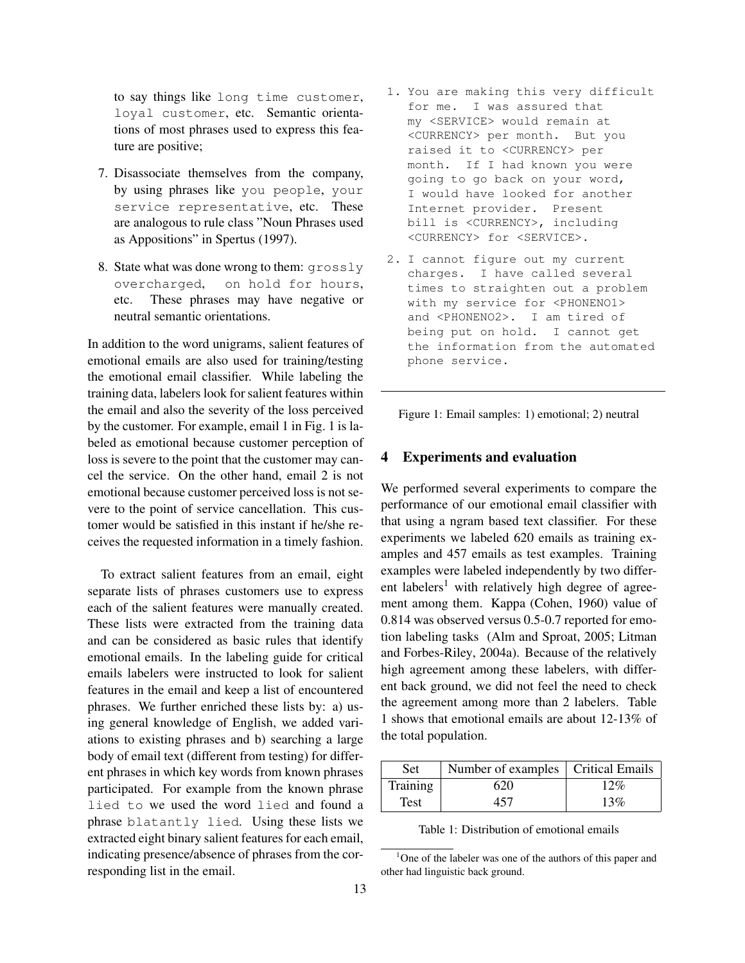to say things like long time customer, loyal customer, etc. Semantic orientations of most phrases used to express this feature are positive;

- 7. Disassociate themselves from the company, by using phrases like you people, your service representative, etc. These are analogous to rule class "Noun Phrases used as Appositions" in Spertus (1997).
- 8. State what was done wrong to them: grossly overcharged, on hold for hours, etc. These phrases may have negative or neutral semantic orientations.

In addition to the word unigrams, salient features of emotional emails are also used for training/testing the emotional email classifier. While labeling the training data, labelers look for salient features within the email and also the severity of the loss perceived by the customer. For example, email 1 in Fig. 1 is labeled as emotional because customer perception of loss is severe to the point that the customer may cancel the service. On the other hand, email 2 is not emotional because customer perceived loss is not severe to the point of service cancellation. This customer would be satisfied in this instant if he/she receives the requested information in a timely fashion.

To extract salient features from an email, eight separate lists of phrases customers use to express each of the salient features were manually created. These lists were extracted from the training data and can be considered as basic rules that identify emotional emails. In the labeling guide for critical emails labelers were instructed to look for salient features in the email and keep a list of encountered phrases. We further enriched these lists by: a) using general knowledge of English, we added variations to existing phrases and b) searching a large body of email text (different from testing) for different phrases in which key words from known phrases participated. For example from the known phrase lied to we used the word lied and found a phrase blatantly lied. Using these lists we extracted eight binary salient features for each email, indicating presence/absence of phrases from the corresponding list in the email.

- 1. You are making this very difficult for me. I was assured that my <SERVICE> would remain at <CURRENCY> per month. But you raised it to <CURRENCY> per month. If I had known you were going to go back on your word, I would have looked for another Internet provider. Present bill is <CURRENCY>, including <CURRENCY> for <SERVICE>.
- 2. I cannot figure out my current charges. I have called several times to straighten out a problem with my service for <PHONENO1> and <PHONENO2>. I am tired of being put on hold. I cannot get the information from the automated phone service.

Figure 1: Email samples: 1) emotional; 2) neutral

#### 4 Experiments and evaluation

We performed several experiments to compare the performance of our emotional email classifier with that using a ngram based text classifier. For these experiments we labeled 620 emails as training examples and 457 emails as test examples. Training examples were labeled independently by two different labelers<sup>1</sup> with relatively high degree of agreement among them. Kappa (Cohen, 1960) value of 0.814 was observed versus 0.5-0.7 reported for emotion labeling tasks (Alm and Sproat, 2005; Litman and Forbes-Riley, 2004a). Because of the relatively high agreement among these labelers, with different back ground, we did not feel the need to check the agreement among more than 2 labelers. Table 1 shows that emotional emails are about 12-13% of the total population.

| <b>Set</b> | Number of examples   Critical Emails |     |
|------------|--------------------------------------|-----|
| Training   | 620                                  | 12% |
| Test       | 457                                  | 13% |

Table 1: Distribution of emotional emails

<sup>&</sup>lt;sup>1</sup>One of the labeler was one of the authors of this paper and other had linguistic back ground.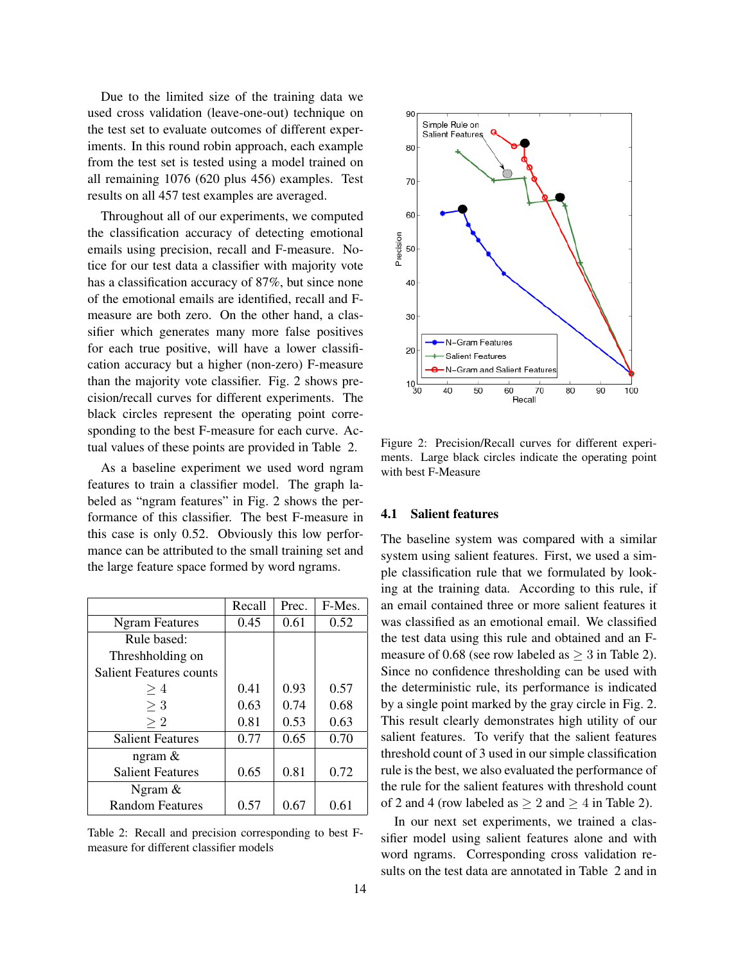Due to the limited size of the training data we used cross validation (leave-one-out) technique on the test set to evaluate outcomes of different experiments. In this round robin approach, each example from the test set is tested using a model trained on all remaining 1076 (620 plus 456) examples. Test results on all 457 test examples are averaged.

Throughout all of our experiments, we computed the classification accuracy of detecting emotional emails using precision, recall and F-measure. Notice for our test data a classifier with majority vote has a classification accuracy of 87%, but since none of the emotional emails are identified, recall and Fmeasure are both zero. On the other hand, a classifier which generates many more false positives for each true positive, will have a lower classification accuracy but a higher (non-zero) F-measure than the majority vote classifier. Fig. 2 shows precision/recall curves for different experiments. The black circles represent the operating point corresponding to the best F-measure for each curve. Actual values of these points are provided in Table 2.

As a baseline experiment we used word ngram features to train a classifier model. The graph labeled as "ngram features" in Fig. 2 shows the performance of this classifier. The best F-measure in this case is only 0.52. Obviously this low performance can be attributed to the small training set and the large feature space formed by word ngrams.

|                                | Recall | Prec. | F-Mes. |
|--------------------------------|--------|-------|--------|
| <b>Ngram Features</b>          | 0.45   | 0.61  | 0.52   |
| Rule based:                    |        |       |        |
| Threshholding on               |        |       |        |
| <b>Salient Features counts</b> |        |       |        |
| >4                             | 0.41   | 0.93  | 0.57   |
| $>$ 3                          | 0.63   | 0.74  | 0.68   |
| $\geq 2$                       | 0.81   | 0.53  | 0.63   |
| <b>Salient Features</b>        | 0.77   | 0.65  | 0.70   |
| ngram $\&$                     |        |       |        |
| <b>Salient Features</b>        | 0.65   | 0.81  | 0.72   |
| Ngram $\&$                     |        |       |        |
| <b>Random Features</b>         | 0.57   | 0.67  | 0.61   |

Table 2: Recall and precision corresponding to best Fmeasure for different classifier models



Figure 2: Precision/Recall curves for different experiments. Large black circles indicate the operating point with best F-Measure

#### 4.1 Salient features

The baseline system was compared with a similar system using salient features. First, we used a simple classification rule that we formulated by looking at the training data. According to this rule, if an email contained three or more salient features it was classified as an emotional email. We classified the test data using this rule and obtained and an Fmeasure of 0.68 (see row labeled as  $\geq$  3 in Table 2). Since no confidence thresholding can be used with the deterministic rule, its performance is indicated by a single point marked by the gray circle in Fig. 2. This result clearly demonstrates high utility of our salient features. To verify that the salient features threshold count of 3 used in our simple classification rule is the best, we also evaluated the performance of the rule for the salient features with threshold count of 2 and 4 (row labeled as  $\geq 2$  and  $\geq 4$  in Table 2).

In our next set experiments, we trained a classifier model using salient features alone and with word ngrams. Corresponding cross validation results on the test data are annotated in Table 2 and in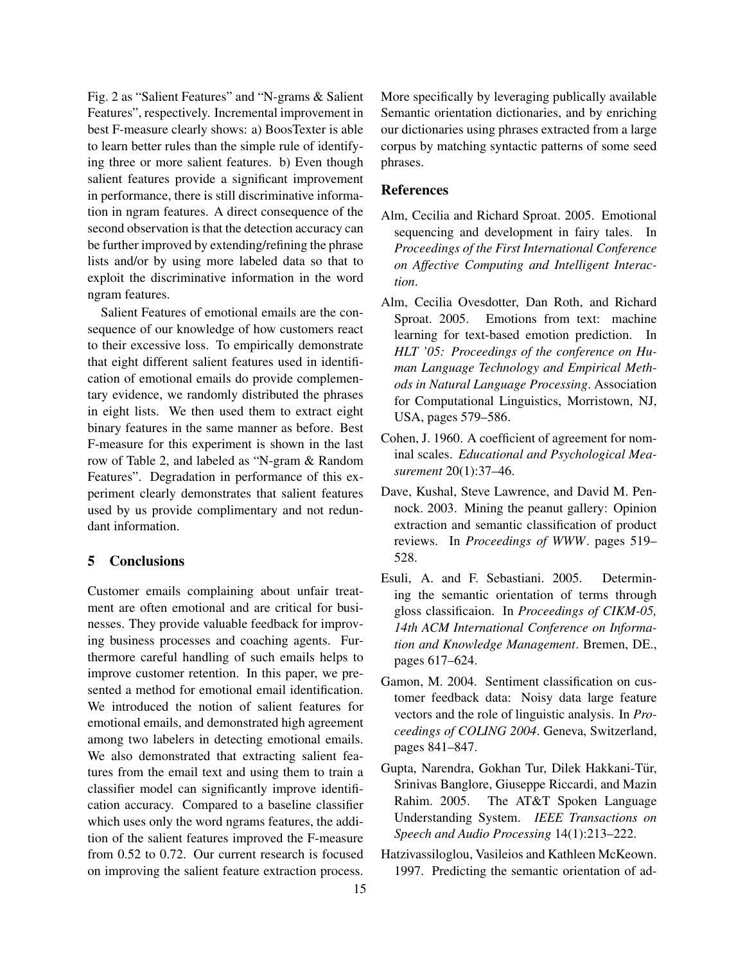Fig. 2 as "Salient Features" and "N-grams & Salient Features", respectively. Incremental improvement in best F-measure clearly shows: a) BoosTexter is able to learn better rules than the simple rule of identifying three or more salient features. b) Even though salient features provide a significant improvement in performance, there is still discriminative information in ngram features. A direct consequence of the second observation is that the detection accuracy can be further improved by extending/refining the phrase lists and/or by using more labeled data so that to exploit the discriminative information in the word ngram features.

Salient Features of emotional emails are the consequence of our knowledge of how customers react to their excessive loss. To empirically demonstrate that eight different salient features used in identification of emotional emails do provide complementary evidence, we randomly distributed the phrases in eight lists. We then used them to extract eight binary features in the same manner as before. Best F-measure for this experiment is shown in the last row of Table 2, and labeled as "N-gram & Random Features". Degradation in performance of this experiment clearly demonstrates that salient features used by us provide complimentary and not redundant information.

# 5 Conclusions

Customer emails complaining about unfair treatment are often emotional and are critical for businesses. They provide valuable feedback for improving business processes and coaching agents. Furthermore careful handling of such emails helps to improve customer retention. In this paper, we presented a method for emotional email identification. We introduced the notion of salient features for emotional emails, and demonstrated high agreement among two labelers in detecting emotional emails. We also demonstrated that extracting salient features from the email text and using them to train a classifier model can significantly improve identification accuracy. Compared to a baseline classifier which uses only the word ngrams features, the addition of the salient features improved the F-measure from 0.52 to 0.72. Our current research is focused on improving the salient feature extraction process.

More specifically by leveraging publically available Semantic orientation dictionaries, and by enriching our dictionaries using phrases extracted from a large corpus by matching syntactic patterns of some seed phrases.

#### **References**

- Alm, Cecilia and Richard Sproat. 2005. Emotional sequencing and development in fairy tales. In *Proceedings of the First International Conference on Affective Computing and Intelligent Interaction*.
- Alm, Cecilia Ovesdotter, Dan Roth, and Richard Sproat. 2005. Emotions from text: machine learning for text-based emotion prediction. In *HLT '05: Proceedings of the conference on Human Language Technology and Empirical Methods in Natural Language Processing*. Association for Computational Linguistics, Morristown, NJ, USA, pages 579–586.
- Cohen, J. 1960. A coefficient of agreement for nominal scales. *Educational and Psychological Measurement* 20(1):37–46.
- Dave, Kushal, Steve Lawrence, and David M. Pennock. 2003. Mining the peanut gallery: Opinion extraction and semantic classification of product reviews. In *Proceedings of WWW*. pages 519– 528.
- Esuli, A. and F. Sebastiani. 2005. Determining the semantic orientation of terms through gloss classificaion. In *Proceedings of CIKM-05, 14th ACM International Conference on Information and Knowledge Management*. Bremen, DE., pages 617–624.
- Gamon, M. 2004. Sentiment classification on customer feedback data: Noisy data large feature vectors and the role of linguistic analysis. In *Proceedings of COLING 2004*. Geneva, Switzerland, pages 841–847.
- Gupta, Narendra, Gokhan Tur, Dilek Hakkani-Tür, Srinivas Banglore, Giuseppe Riccardi, and Mazin Rahim. 2005. The AT&T Spoken Language Understanding System. *IEEE Transactions on Speech and Audio Processing* 14(1):213–222.
- Hatzivassiloglou, Vasileios and Kathleen McKeown. 1997. Predicting the semantic orientation of ad-